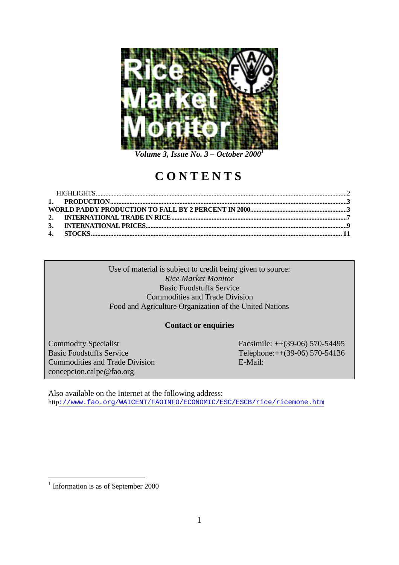

*Volume 3, Issue No. 3 – October 2000<sup>1</sup>*

# **CONTENTS**

Use of material is subject to credit being given to source: *Rice Market Monitor* Basic Foodstuffs Service Commodities and Trade Division Food and Agriculture Organization of the United Nations

## **Contact or enquiries**

Commodities and Trade Division E-Mail: concepcion.calpe@fao.org

Commodity Specialist Facsimile: ++(39-06) 570-54495 Basic Foodstuffs Service Telephone:++(39-06) 570-54136

Also available on the Internet at the following address: http://www.fao.org/WAICENT/FAOINFO/ECONOMIC/ESC/ESCB/rice/ricemone.htm

<sup>&</sup>lt;sup>1</sup> Information is as of September 2000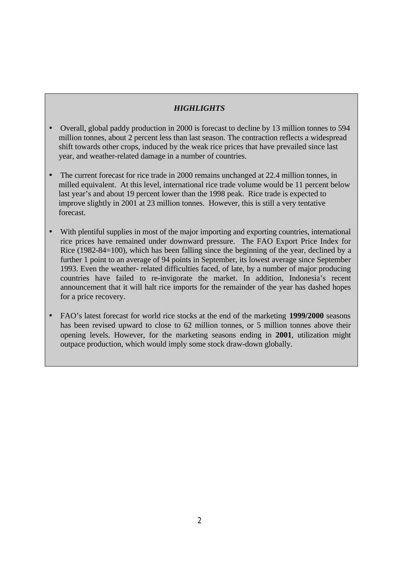## *HIGHLIGHTS*

- Overall, global paddy production in 2000 is forecast to decline by 13 million tonnes to 594 million tonnes, about 2 percent less than last season. The contraction reflects a widespread shift towards other crops, induced by the weak rice prices that have prevailed since last year, and weather-related damage in a number of countries.
- The current forecast for rice trade in 2000 remains unchanged at 22.4 million tonnes, in milled equivalent. At this level, international rice trade volume would be 11 percent below last year's and about 19 percent lower than the 1998 peak. Rice trade is expected to improve slightly in 2001 at 23 million tonnes. However, this is still a very tentative forecast.
- With plentiful supplies in most of the major importing and exporting countries, international rice prices have remained under downward pressure. The FAO Export Price Index for Rice (1982-84=100), which has been falling since the beginning of the year, declined by a further 1 point to an average of 94 points in September, its lowest average since September 1993. Even the weather- related difficulties faced, of late, by a number of major producing countries have failed to re-invigorate the market. In addition, Indonesia's recent announcement that it will halt rice imports for the remainder of the year has dashed hopes for a price recovery.
- FAO's latest forecast for world rice stocks at the end of the marketing **1999/2000** seasons has been revised upward to close to 62 million tonnes, or 5 million tonnes above their opening levels. However, for the marketing seasons ending in **2001**, utilization might outpace production, which would imply some stock draw-down globally.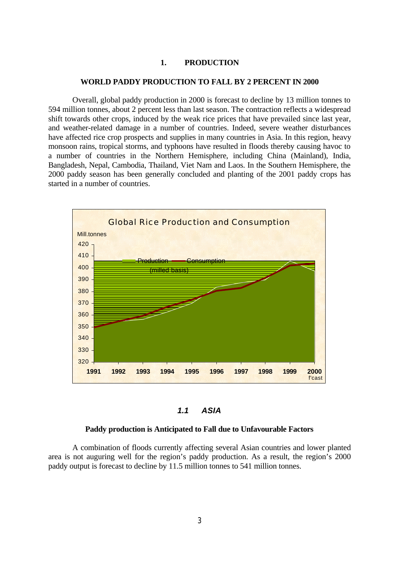## **1. PRODUCTION**

#### **WORLD PADDY PRODUCTION TO FALL BY 2 PERCENT IN 2000**

Overall, global paddy production in 2000 is forecast to decline by 13 million tonnes to 594 million tonnes, about 2 percent less than last season. The contraction reflects a widespread shift towards other crops, induced by the weak rice prices that have prevailed since last year, and weather-related damage in a number of countries. Indeed, severe weather disturbances have affected rice crop prospects and supplies in many countries in Asia. In this region, heavy monsoon rains, tropical storms, and typhoons have resulted in floods thereby causing havoc to a number of countries in the Northern Hemisphere, including China (Mainland), India, Bangladesh, Nepal, Cambodia, Thailand, Viet Nam and Laos. In the Southern Hemisphere, the 2000 paddy season has been generally concluded and planting of the 2001 paddy crops has started in a number of countries.



*1.1 ASIA*

#### **Paddy production is Anticipated to Fall due to Unfavourable Factors**

A combination of floods currently affecting several Asian countries and lower planted area is not auguring well for the region's paddy production. As a result, the region's 2000 paddy output is forecast to decline by 11.5 million tonnes to 541 million tonnes.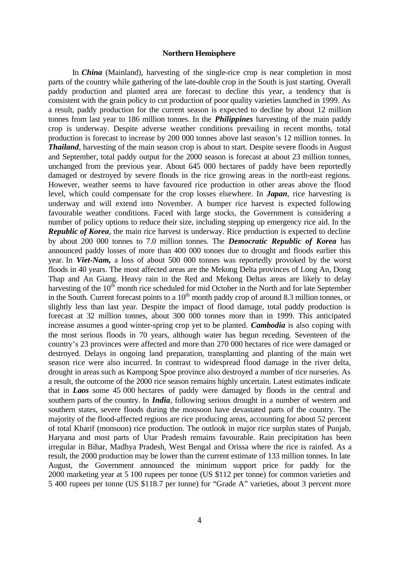#### **Northern Hemisphere**

In *China* (Mainland), harvesting of the single-rice crop is near completion in most parts of the country while gathering of the late-double crop in the South is just starting. Overall paddy production and planted area are forecast to decline this year, a tendency that is consistent with the grain policy to cut production of poor quality varieties launched in 1999. As a result, paddy production for the current season is expected to decline by about 12 million tonnes from last year to 186 million tonnes. In the *Philippines* harvesting of the main paddy crop is underway. Despite adverse weather conditions prevailing in recent months, total production is forecast to increase by 200 000 tonnes above last season's 12 million tonnes. In *Thailand*, harvesting of the main season crop is about to start. Despite severe floods in August and September, total paddy output for the 2000 season is forecast at about 23 million tonnes, unchanged from the previous year. About 645 000 hectares of paddy have been reportedly damaged or destroyed by severe floods in the rice growing areas in the north-east regions. However, weather seems to have favoured rice production in other areas above the flood level, which could compensate for the crop losses elsewhere. In *Japan*, rice harvesting is underway and will extend into November. A bumper rice harvest is expected following favourable weather conditions. Faced with large stocks, the Government is considering a number of policy options to reduce their size, including stepping up emergency rice aid. In the *Republic of Korea*, the main rice harvest is underway. Rice production is expected to decline by about 200 000 tonnes to 7.0 million tonnes. The *Democratic Republic of Korea* has announced paddy losses of more than 400 000 tonnes due to drought and floods earlier this year. In *Viet-Nam,* a loss of about 500 000 tonnes was reportedly provoked by the worst floods in 40 years. The most affected areas are the Mekong Delta provinces of Long An, Dong Thap and An Giang. Heavy rain in the Red and Mekong Deltas areas are likely to delay harvesting of the  $10<sup>th</sup>$  month rice scheduled for mid October in the North and for late September in the South. Current forecast points to a  $10<sup>th</sup>$  month paddy crop of around 8.3 million tonnes, or slightly less than last year. Despite the impact of flood damage, total paddy production is forecast at 32 million tonnes, about 300 000 tonnes more than in 1999. This anticipated increase assumes a good winter-spring crop yet to be planted. *Cambodia* is also coping with the most serious floods in 70 years, although water has begun receding. Seventeen of the country's 23 provinces were affected and more than 270 000 hectares of rice were damaged or destroyed. Delays in ongoing land preparation, transplanting and planting of the main wet season rice were also incurred. In contrast to widespread flood damage in the river delta, drought in areas such as Kampong Spoe province also destroyed a number of rice nurseries. As a result, the outcome of the 2000 rice season remains highly uncertain. Latest estimates indicate that in *Laos* some 45 000 hectares of paddy were damaged by floods in the central and southern parts of the country. In *India*, following serious drought in a number of western and southern states, severe floods during the monsoon have devastated parts of the country. The majority of the flood-affected regions are rice producing areas, accounting for about 52 percent of total Kharif (monsoon) rice production. The outlook in major rice surplus states of Punjab, Haryana and most parts of Utar Pradesh remains favourable. Rain precipitation has been irregular in Bihar, Madhya Pradesh, West Bengal and Orissa where the rice is rainfed. As a result, the 2000 production may be lower than the current estimate of 133 million tonnes. In late August, the Government announced the minimum support price for paddy for the 2000 marketing year at 5 100 rupees per tonne (US \$112 per tonne) for common varieties and 5 400 rupees per tonne (US \$118.7 per tonne) for "Grade A" varieties, about 3 percent more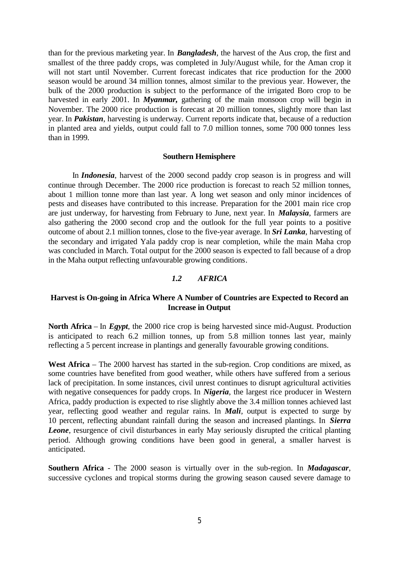than for the previous marketing year. In *Bangladesh*, the harvest of the Aus crop, the first and smallest of the three paddy crops, was completed in July/August while, for the Aman crop it will not start until November. Current forecast indicates that rice production for the 2000 season would be around 34 million tonnes, almost similar to the previous year. However, the bulk of the 2000 production is subject to the performance of the irrigated Boro crop to be harvested in early 2001. In *Myanmar*, gathering of the main monsoon crop will begin in November. The 2000 rice production is forecast at 20 million tonnes, slightly more than last year. In *Pakistan*, harvesting is underway. Current reports indicate that, because of a reduction in planted area and yields, output could fall to 7.0 million tonnes, some 700 000 tonnes less than in 1999.

#### **Southern Hemisphere**

In *Indonesia*, harvest of the 2000 second paddy crop season is in progress and will continue through December. The 2000 rice production is forecast to reach 52 million tonnes, about 1 million tonne more than last year. A long wet season and only minor incidences of pests and diseases have contributed to this increase. Preparation for the 2001 main rice crop are just underway, for harvesting from February to June, next year. In *Malaysia*, farmers are also gathering the 2000 second crop and the outlook for the full year points to a positive outcome of about 2.1 million tonnes, close to the five-year average. In *Sri Lanka*, harvesting of the secondary and irrigated Yala paddy crop is near completion, while the main Maha crop was concluded in March. Total output for the 2000 season is expected to fall because of a drop in the Maha output reflecting unfavourable growing conditions.

#### *1.2 AFRICA*

## **Harvest is On-going in Africa Where A Number of Countries are Expected to Record an Increase in Output**

**North Africa** – In *Egypt*, the 2000 rice crop is being harvested since mid-August. Production is anticipated to reach 6.2 million tonnes, up from 5.8 million tonnes last year, mainly reflecting a 5 percent increase in plantings and generally favourable growing conditions.

West Africa – The 2000 harvest has started in the sub-region. Crop conditions are mixed, as some countries have benefited from good weather, while others have suffered from a serious lack of precipitation. In some instances, civil unrest continues to disrupt agricultural activities with negative consequences for paddy crops. In *Nigeria*, the largest rice producer in Western Africa, paddy production is expected to rise slightly above the 3.4 million tonnes achieved last year, reflecting good weather and regular rains. In *Mali*, output is expected to surge by 10 percent, reflecting abundant rainfall during the season and increased plantings. In *Sierra Leone*, resurgence of civil disturbances in early May seriously disrupted the critical planting period. Although growing conditions have been good in general, a smaller harvest is anticipated.

**Southern Africa** - The 2000 season is virtually over in the sub-region. In *Madagascar*, successive cyclones and tropical storms during the growing season caused severe damage to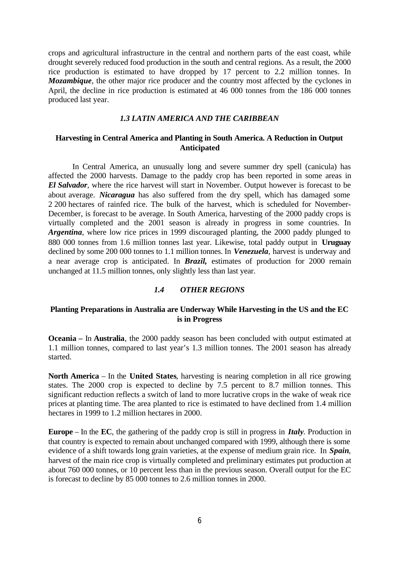crops and agricultural infrastructure in the central and northern parts of the east coast, while drought severely reduced food production in the south and central regions. As a result, the 2000 rice production is estimated to have dropped by 17 percent to 2.2 million tonnes. In *Mozambique*, the other major rice producer and the country most affected by the cyclones in April, the decline in rice production is estimated at 46 000 tonnes from the 186 000 tonnes produced last year.

#### *1.3 LATIN AMERICA AND THE CARIBBEAN*

## **Harvesting in Central America and Planting in South America. A Reduction in Output Anticipated**

In Central America, an unusually long and severe summer dry spell (canicula) has affected the 2000 harvests. Damage to the paddy crop has been reported in some areas in *El Salvador*, where the rice harvest will start in November. Output however is forecast to be about average. *Nicaragua* has also suffered from the dry spell, which has damaged some 2 200 hectares of rainfed rice. The bulk of the harvest, which is scheduled for November-December, is forecast to be average. In South America, harvesting of the 2000 paddy crops is virtually completed and the 2001 season is already in progress in some countries. In *Argentina*, where low rice prices in 1999 discouraged planting, the 2000 paddy plunged to 880 000 tonnes from 1.6 million tonnes last year. Likewise, total paddy output in **Uruguay** declined by some 200 000 tonnes to 1.1 million tonnes. In *Venezuela*, harvest is underway and a near average crop is anticipated. In *Brazil,* estimates of production for 2000 remain unchanged at 11.5 million tonnes, only slightly less than last year.

## *1.4 OTHER REGIONS*

## **Planting Preparations in Australia are Underway While Harvesting in the US and the EC is in Progress**

**Oceania –** In **Australia**, the 2000 paddy season has been concluded with output estimated at 1.1 million tonnes, compared to last year's 1.3 million tonnes. The 2001 season has already started.

**North America** – In the **United States**, harvesting is nearing completion in all rice growing states. The 2000 crop is expected to decline by 7.5 percent to 8.7 million tonnes. This significant reduction reflects a switch of land to more lucrative crops in the wake of weak rice prices at planting time. The area planted to rice is estimated to have declined from 1.4 million hectares in 1999 to 1.2 million hectares in 2000.

**Europe** – In the **EC**, the gathering of the paddy crop is still in progress in *Italy*. Production in that country is expected to remain about unchanged compared with 1999, although there is some evidence of a shift towards long grain varieties, at the expense of medium grain rice. In *Spain*, harvest of the main rice crop is virtually completed and preliminary estimates put production at about 760 000 tonnes, or 10 percent less than in the previous season. Overall output for the EC is forecast to decline by 85 000 tonnes to 2.6 million tonnes in 2000.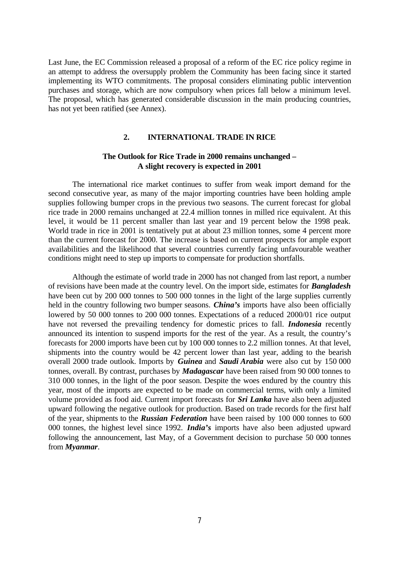Last June, the EC Commission released a proposal of a reform of the EC rice policy regime in an attempt to address the oversupply problem the Community has been facing since it started implementing its WTO commitments. The proposal considers eliminating public intervention purchases and storage, which are now compulsory when prices fall below a minimum level. The proposal, which has generated considerable discussion in the main producing countries, has not yet been ratified (see Annex).

#### **2. INTERNATIONAL TRADE IN RICE**

## **The Outlook for Rice Trade in 2000 remains unchanged – A slight recovery is expected in 2001**

The international rice market continues to suffer from weak import demand for the second consecutive year, as many of the major importing countries have been holding ample supplies following bumper crops in the previous two seasons. The current forecast for global rice trade in 2000 remains unchanged at 22.4 million tonnes in milled rice equivalent. At this level, it would be 11 percent smaller than last year and 19 percent below the 1998 peak. World trade in rice in 2001 is tentatively put at about 23 million tonnes, some 4 percent more than the current forecast for 2000. The increase is based on current prospects for ample export availabilities and the likelihood that several countries currently facing unfavourable weather conditions might need to step up imports to compensate for production shortfalls.

Although the estimate of world trade in 2000 has not changed from last report, a number of revisions have been made at the country level. On the import side, estimates for *Bangladesh* have been cut by 200 000 tonnes to 500 000 tonnes in the light of the large supplies currently held in the country following two bumper seasons. *China's* imports have also been officially lowered by 50 000 tonnes to 200 000 tonnes. Expectations of a reduced 2000/01 rice output have not reversed the prevailing tendency for domestic prices to fall. *Indonesia* recently announced its intention to suspend imports for the rest of the year. As a result, the country's forecasts for 2000 imports have been cut by 100 000 tonnes to 2.2 million tonnes. At that level, shipments into the country would be 42 percent lower than last year, adding to the bearish overall 2000 trade outlook. Imports by *Guinea* and *Saudi Arabia* were also cut by 150 000 tonnes, overall. By contrast, purchases by *Madagascar* have been raised from 90 000 tonnes to 310 000 tonnes, in the light of the poor season. Despite the woes endured by the country this year, most of the imports are expected to be made on commercial terms, with only a limited volume provided as food aid. Current import forecasts for *Sri Lanka* have also been adjusted upward following the negative outlook for production. Based on trade records for the first half of the year, shipments to the *Russian Federation* have been raised by 100 000 tonnes to 600 000 tonnes, the highest level since 1992. *India's* imports have also been adjusted upward following the announcement, last May, of a Government decision to purchase 50 000 tonnes from *Myanmar*.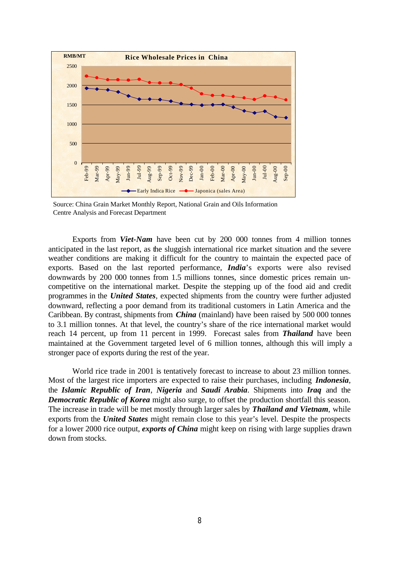

Source: China Grain Market Monthly Report, National Grain and Oils Information Centre Analysis and Forecast Department

Exports from *Viet-Nam* have been cut by 200 000 tonnes from 4 million tonnes anticipated in the last report, as the sluggish international rice market situation and the severe weather conditions are making it difficult for the country to maintain the expected pace of exports. Based on the last reported performance, *India*'s exports were also revised downwards by 200 000 tonnes from 1.5 millions tonnes, since domestic prices remain uncompetitive on the international market. Despite the stepping up of the food aid and credit programmes in the *United States*, expected shipments from the country were further adjusted downward, reflecting a poor demand from its traditional customers in Latin America and the Caribbean. By contrast, shipments from *China* (mainland) have been raised by 500 000 tonnes to 3.1 million tonnes. At that level, the country's share of the rice international market would reach 14 percent, up from 11 percent in 1999. Forecast sales from *Thailand* have been maintained at the Government targeted level of 6 million tonnes, although this will imply a stronger pace of exports during the rest of the year.

World rice trade in 2001 is tentatively forecast to increase to about 23 million tonnes. Most of the largest rice importers are expected to raise their purchases, including *Indonesia*, the *Islamic Republic of Iran*, *Nigeria* and *Saudi Arabia*. Shipments into *Iraq* and the **Democratic Republic of Korea** might also surge, to offset the production shortfall this season. The increase in trade will be met mostly through larger sales by *Thailand and Vietnam*, while exports from the *United States* might remain close to this year's level. Despite the prospects for a lower 2000 rice output, *exports of China* might keep on rising with large supplies drawn down from stocks.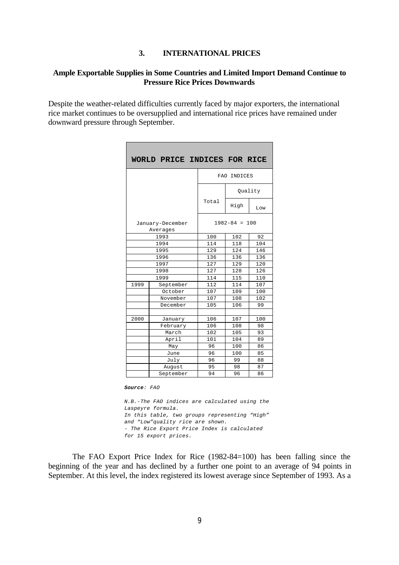#### **3. INTERNATIONAL PRICES**

## **Ample Exportable Supplies in Some Countries and Limited Import Demand Continue to Pressure Rice Prices Downwards**

Despite the weather-related difficulties currently faced by major exporters, the international rice market continues to be oversupplied and international rice prices have remained under downward pressure through September.

|      | WORLD PRICE INDICES FOR RICE |                   |         |     |
|------|------------------------------|-------------------|---------|-----|
|      |                              | FAO INDICES       |         |     |
|      |                              |                   | Quality |     |
|      |                              | Total             | High    | Low |
|      | January-December<br>Averages | $1982 - 84 = 100$ |         |     |
|      | 1993                         | 100               | 102     | 92  |
|      | 1994                         | 114               | 118     | 104 |
|      | 1995                         | 129               | 124     | 146 |
|      | 1996                         | 136               | 136     | 136 |
|      | 1997                         | 127               | 129     | 120 |
|      | 1998                         | 127               | 128     | 126 |
|      | 1999                         | 114               | 115     | 110 |
| 1999 | September                    | 112               | 114     | 107 |
|      | October                      | 107               | 109     | 100 |
|      | November                     | 107               | 108     | 102 |
|      | December                     | 105               | 106     | 99  |
|      |                              |                   |         |     |
| 2000 | January                      | 106               | 107     | 100 |
|      | February                     | 106               | 108     | 98  |
|      | March                        | 102               | 105     | 93  |
|      | April                        | 101               | 104     | 89  |
|      | May                          | 96                | 100     | 86  |
|      | June                         | 96                | 100     | 85  |
|      | July                         | 96                | 99      | 88  |
|      | August                       | 95                | 98      | 87  |
|      | September                    | 94                | 96      | 86  |

*Source: FAO*

*N.B.-The FAO indices are calculated using the Laspeyre formula. In this table, two groups representing "High" and "Low"quality rice are shown. - The Rice Export Price Index is calculated for 15 export prices.*

The FAO Export Price Index for Rice (1982-84=100) has been falling since the beginning of the year and has declined by a further one point to an average of 94 points in September. At this level, the index registered its lowest average since September of 1993. As a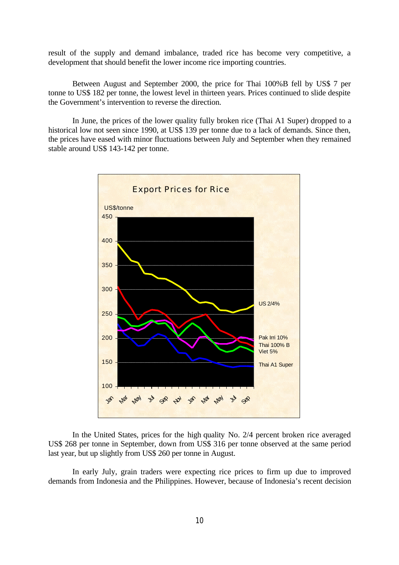result of the supply and demand imbalance, traded rice has become very competitive, a development that should benefit the lower income rice importing countries.

Between August and September 2000, the price for Thai 100%B fell by US\$ 7 per tonne to US\$ 182 per tonne, the lowest level in thirteen years. Prices continued to slide despite the Government's intervention to reverse the direction.

In June, the prices of the lower quality fully broken rice (Thai A1 Super) dropped to a historical low not seen since 1990, at US\$ 139 per tonne due to a lack of demands. Since then, the prices have eased with minor fluctuations between July and September when they remained stable around US\$ 143-142 per tonne.



In the United States, prices for the high quality No. 2/4 percent broken rice averaged US\$ 268 per tonne in September, down from US\$ 316 per tonne observed at the same period last year, but up slightly from US\$ 260 per tonne in August.

In early July, grain traders were expecting rice prices to firm up due to improved demands from Indonesia and the Philippines. However, because of Indonesia's recent decision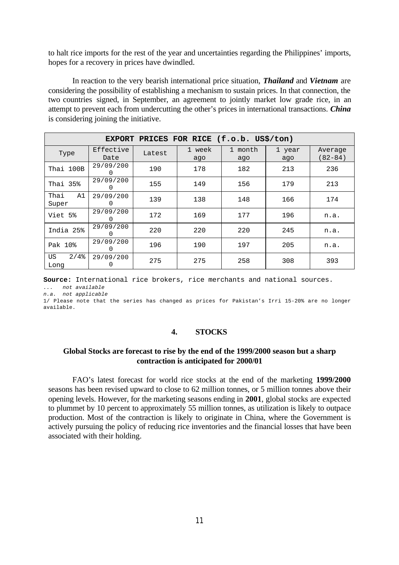to halt rice imports for the rest of the year and uncertainties regarding the Philippines' imports, hopes for a recovery in prices have dwindled.

In reaction to the very bearish international price situation, *Thailand* and *Vietnam* are considering the possibility of establishing a mechanism to sustain prices. In that connection, the two countries signed, in September, an agreement to jointly market low grade rice, in an attempt to prevent each from undercutting the other's prices in international transactions. *China* is considering joining the initiative.

| PRICES FOR RICE (f.o.b. US\$/ton)<br><b>EXPORT</b> |                               |        |               |                              |               |                        |
|----------------------------------------------------|-------------------------------|--------|---------------|------------------------------|---------------|------------------------|
| Type                                               | Effective<br>Date             | Latest | 1 week<br>ago | $\mathbf{1}$<br>month<br>ago | 1 year<br>ago | Average<br>$(82 - 84)$ |
| Thai 100B                                          | 29/09/200                     | 190    | 178           | 182                          | 213           | 236                    |
| Thai 35%                                           | 29/09/200                     | 155    | 149           | 156                          | 179           | 213                    |
| Thai<br>A1<br>Super                                | 29/09/200<br>0                | 139    | 138           | 148                          | 166           | 174                    |
| Viet 5%                                            | 29/09/200                     | 172    | 169           | 177                          | 196           | n.a.                   |
| India 25%                                          | 29/09/200<br>0                | 220    | 220           | 220                          | 245           | n.a.                   |
| Pak 10%                                            | 29/09/200<br>$\left( \right)$ | 196    | 190           | 197                          | 205           | n.a.                   |
| $2/4$ %<br>US<br>Long                              | 29/09/200<br>0                | 275    | 275           | 258                          | 308           | 393                    |

**Source:** International rice brokers, rice merchants and national sources.

*... not available n.a. not applicable*

1/ Please note that the series has changed as prices for Pakistan's Irri 15-20% are no longer available.

#### **4. STOCKS**

## **Global Stocks are forecast to rise by the end of the 1999/2000 season but a sharp contraction is anticipated for 2000/01**

FAO's latest forecast for world rice stocks at the end of the marketing **1999/2000** seasons has been revised upward to close to 62 million tonnes, or 5 million tonnes above their opening levels. However, for the marketing seasons ending in **2001**, global stocks are expected to plummet by 10 percent to approximately 55 million tonnes, as utilization is likely to outpace production. Most of the contraction is likely to originate in China, where the Government is actively pursuing the policy of reducing rice inventories and the financial losses that have been associated with their holding.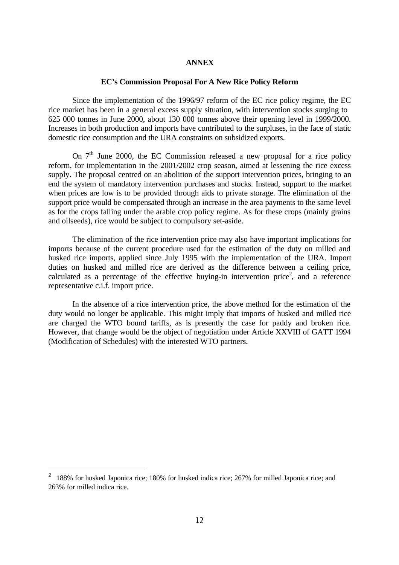#### **ANNEX**

#### **EC's Commission Proposal For A New Rice Policy Reform**

Since the implementation of the 1996/97 reform of the EC rice policy regime, the EC rice market has been in a general excess supply situation, with intervention stocks surging to 625 000 tonnes in June 2000, about 130 000 tonnes above their opening level in 1999/2000. Increases in both production and imports have contributed to the surpluses, in the face of static domestic rice consumption and the URA constraints on subsidized exports.

On  $7<sup>th</sup>$  June 2000, the EC Commission released a new proposal for a rice policy reform, for implementation in the 2001/2002 crop season, aimed at lessening the rice excess supply. The proposal centred on an abolition of the support intervention prices, bringing to an end the system of mandatory intervention purchases and stocks. Instead, support to the market when prices are low is to be provided through aids to private storage. The elimination of the support price would be compensated through an increase in the area payments to the same level as for the crops falling under the arable crop policy regime. As for these crops (mainly grains and oilseeds), rice would be subject to compulsory set-aside.

The elimination of the rice intervention price may also have important implications for imports because of the current procedure used for the estimation of the duty on milled and husked rice imports, applied since July 1995 with the implementation of the URA. Import duties on husked and milled rice are derived as the difference between a ceiling price, calculated as a percentage of the effective buying-in intervention price<sup>2</sup>, and a reference representative c.i.f. import price.

In the absence of a rice intervention price, the above method for the estimation of the duty would no longer be applicable. This might imply that imports of husked and milled rice are charged the WTO bound tariffs, as is presently the case for paddy and broken rice. However, that change would be the object of negotiation under Article XXVIII of GATT 1994 (Modification of Schedules) with the interested WTO partners.

i<br>Li

<sup>&</sup>lt;sup>2</sup> 188% for husked Japonica rice; 180% for husked indica rice; 267% for milled Japonica rice; and 263% for milled indica rice.